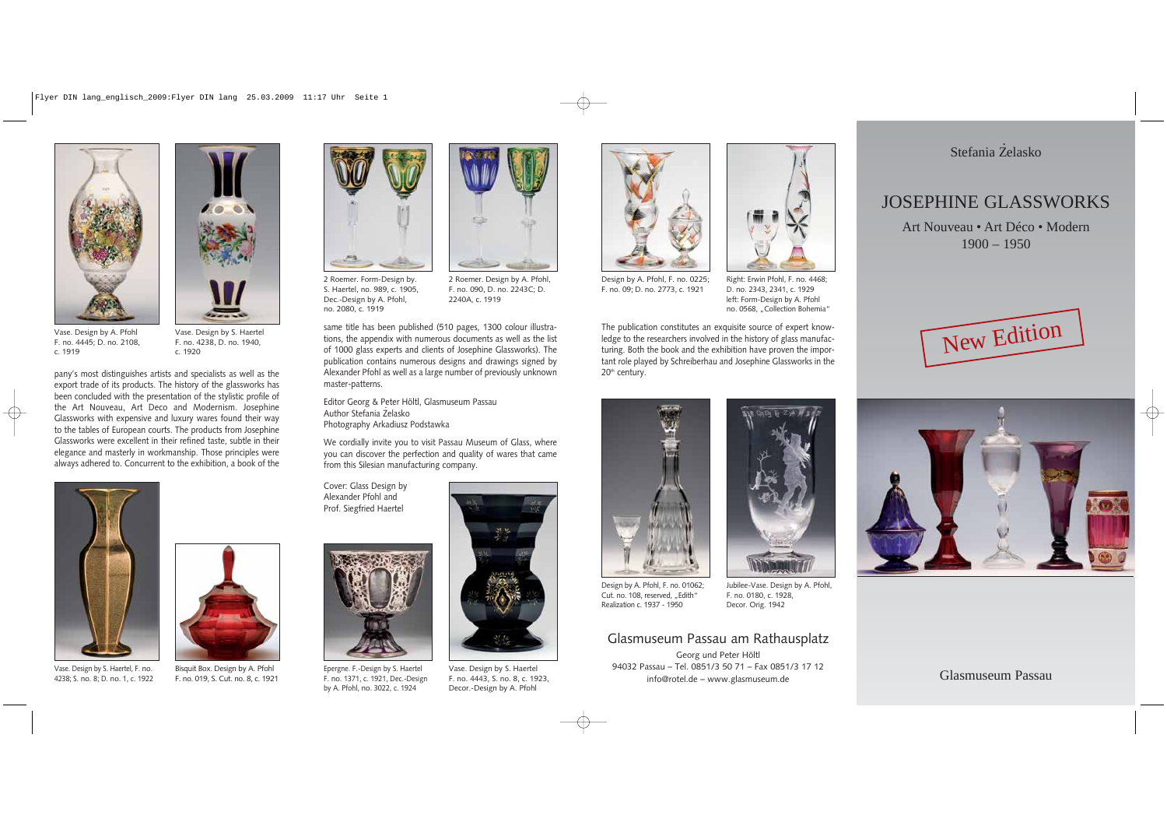Art Nouveau • Art Déco • Modern  $1900 - 1950$ 

## JOSEPHINE GLASSWORKS

Glasmuseum Passau

same title has been published (510 pages, 1300 colour illustrations, the appendix with numerous documents as well as the list of 1000 glass experts and clients of Josephine Glassworks). The publication contains numerous designs and drawings signed by Alexander Pfohl as well as a large number of previously unknown master-patterns.

The publication constitutes an exquisite source of expert knowledge to the researchers involved in the history of glass manufacturing. Both the book and the exhibition have proven the important role played by Schreiberhau and Josephine Glassworks in the  $20<sup>th</sup>$  century.



Editor Georg & Peter Höltl, Glasmuseum Passau Author Stefania Z . elasko Photography Arkadiusz Podstawka

We cordially invite you to visit Passau Museum of Glass, where you can discover the perfection and quality of wares that came from this Silesian manufacturing company.



Right: Erwin Pfohl, F. no. 4468; D. no. 2343, 2341, c. 1929 left: Form-Design by A. Pfohl no. 0568. ..Collection Bohemia"





Vase. Design by A. Pfohl F. no. 4445; D. no. 2108, c. 1919

Vase. Design by S. Haertel F. no. 4238, D. no. 1940, c. 1920



Vase. Design by S. Haertel F. no. 4443, S. no. 8, c. 1923, Decor.-Design by A. Pfohl

## Glasmuseum Passau am Rathausplatz

Georg und Peter Höltl 94032 Passau – Tel. 0851/3 50 71 – Fax 0851/3 17 12 info@rotel.de – www.glasmuseum.de

Stefania Żelasko



Vase. Design by S. Haertel, F. no. 4238; S. no. 8; D. no. 1, c. 1922





2 Roemer. Form-Design by. S. Haertel, no. 989, c. 1905, Dec.-Design by A. Pfohl, no. 2080, c. 1919

Cover: Glass Design by Alexander Pfohl and Prof. Siegfried Haertel



Epergne. F.-Design by S. Haertel F. no. 1371, c. 1921, Dec.-Design by A. Pfohl, no. 3022, c. 1924

2 Roemer. Design by A. Pfohl, F. no. 090, D. no. 2243C; D. 2240A, c. 1919



Design by A. Pfohl, F. no. 0225; F. no. 09; D. no. 2773, c. 1921



Design by A. Pfohl, F. no. 01062; Cut. no. 108, reserved. ..Edith" Realization c. 1937 - 1950

Jubilee-Vase. Design by A. Pfohl, F. no. 0180, c. 1928, Decor. Orig. 1942





pany's most distinguishes artists and specialists as well as the export trade of its products. The history of the glassworks has been concluded with the presentation of the stylistic profile of the Art Nouveau, Art Deco and Modernism. Josephine Glassworks with expensive and luxury wares found their way to the tables of European courts. The products from Josephine Glassworks were excellent in their refined taste, subtle in their elegance and masterly in workmanship. Those principles were always adhered to. Concurrent to the exhibition, a book of the